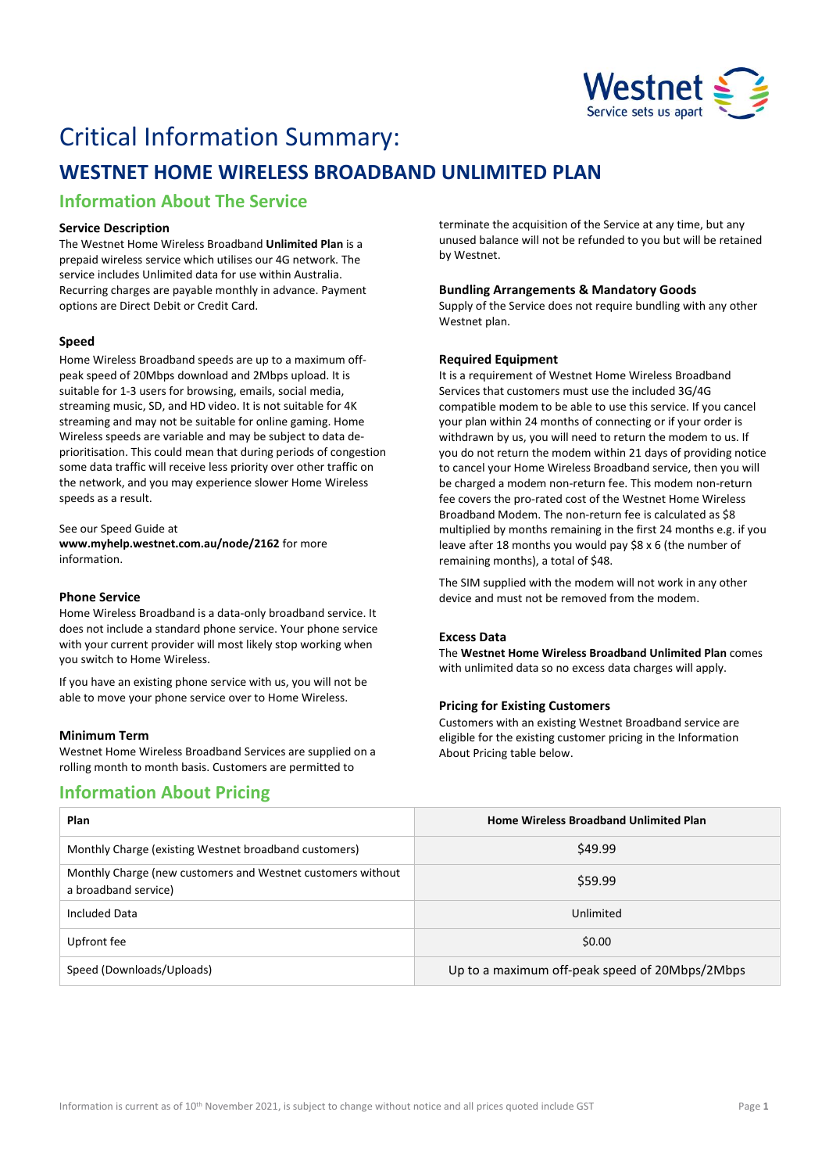

# Critical Information Summary:

## **WESTNET HOME WIRELESS BROADBAND UNLIMITED PLAN**

## **Information About The Service**

#### **Service Description**

The Westnet Home Wireless Broadband **Unlimited Plan** is a prepaid wireless service which utilises our 4G network. The service includes Unlimited data for use within Australia. Recurring charges are payable monthly in advance. Payment options are Direct Debit or Credit Card.

#### **Speed**

Home Wireless Broadband speeds are up to a maximum offpeak speed of 20Mbps download and 2Mbps upload. It is suitable for 1-3 users for browsing, emails, social media, streaming music, SD, and HD video. It is not suitable for 4K streaming and may not be suitable for online gaming. Home Wireless speeds are variable and may be subject to data deprioritisation. This could mean that during periods of congestion some data traffic will receive less priority over other traffic on the network, and you may experience slower Home Wireless speeds as a result.

See our Speed Guide at **[www.myhelp.westnet.com.au/node/2162](http://www.myhelp.westnet.com.au/node/2162)** for more information.

#### **Phone Service**

Home Wireless Broadband is a data-only broadband service. It does not include a standard phone service. Your phone service with your current provider will most likely stop working when you switch to Home Wireless.

If you have an existing phone service with us, you will not be able to move your phone service over to Home Wireless.

#### **Minimum Term**

Westnet Home Wireless Broadband Services are supplied on a rolling month to month basis. Customers are permitted to

### **Information About Pricing**

terminate the acquisition of the Service at any time, but any unused balance will not be refunded to you but will be retained by Westnet.

#### **Bundling Arrangements & Mandatory Goods**

Supply of the Service does not require bundling with any other Westnet plan.

#### **Required Equipment**

It is a requirement of Westnet Home Wireless Broadband Services that customers must use the included 3G/4G compatible modem to be able to use this service. If you cancel your plan within 24 months of connecting or if your order is withdrawn by us, you will need to return the modem to us. If you do not return the modem within 21 days of providing notice to cancel your Home Wireless Broadband service, then you will be charged a modem non-return fee. This modem non-return fee covers the pro-rated cost of the Westnet Home Wireless Broadband Modem. The non-return fee is calculated as \$8 multiplied by months remaining in the first 24 months e.g. if you leave after 18 months you would pay \$8 x 6 (the number of remaining months), a total of \$48.

The SIM supplied with the modem will not work in any other device and must not be removed from the modem.

#### **Excess Data**

The **Westnet Home Wireless Broadband Unlimited Plan** comes with unlimited data so no excess data charges will apply.

#### **Pricing for Existing Customers**

Customers with an existing Westnet Broadband service are eligible for the existing customer pricing in the Information About Pricing table below.

| Plan                                                                                | <b>Home Wireless Broadband Unlimited Plan</b>  |
|-------------------------------------------------------------------------------------|------------------------------------------------|
| Monthly Charge (existing Westnet broadband customers)                               | \$49.99                                        |
| Monthly Charge (new customers and Westnet customers without<br>a broadband service) | \$59.99                                        |
| Included Data                                                                       | Unlimited                                      |
| Upfront fee                                                                         | \$0.00                                         |
| Speed (Downloads/Uploads)                                                           | Up to a maximum off-peak speed of 20Mbps/2Mbps |